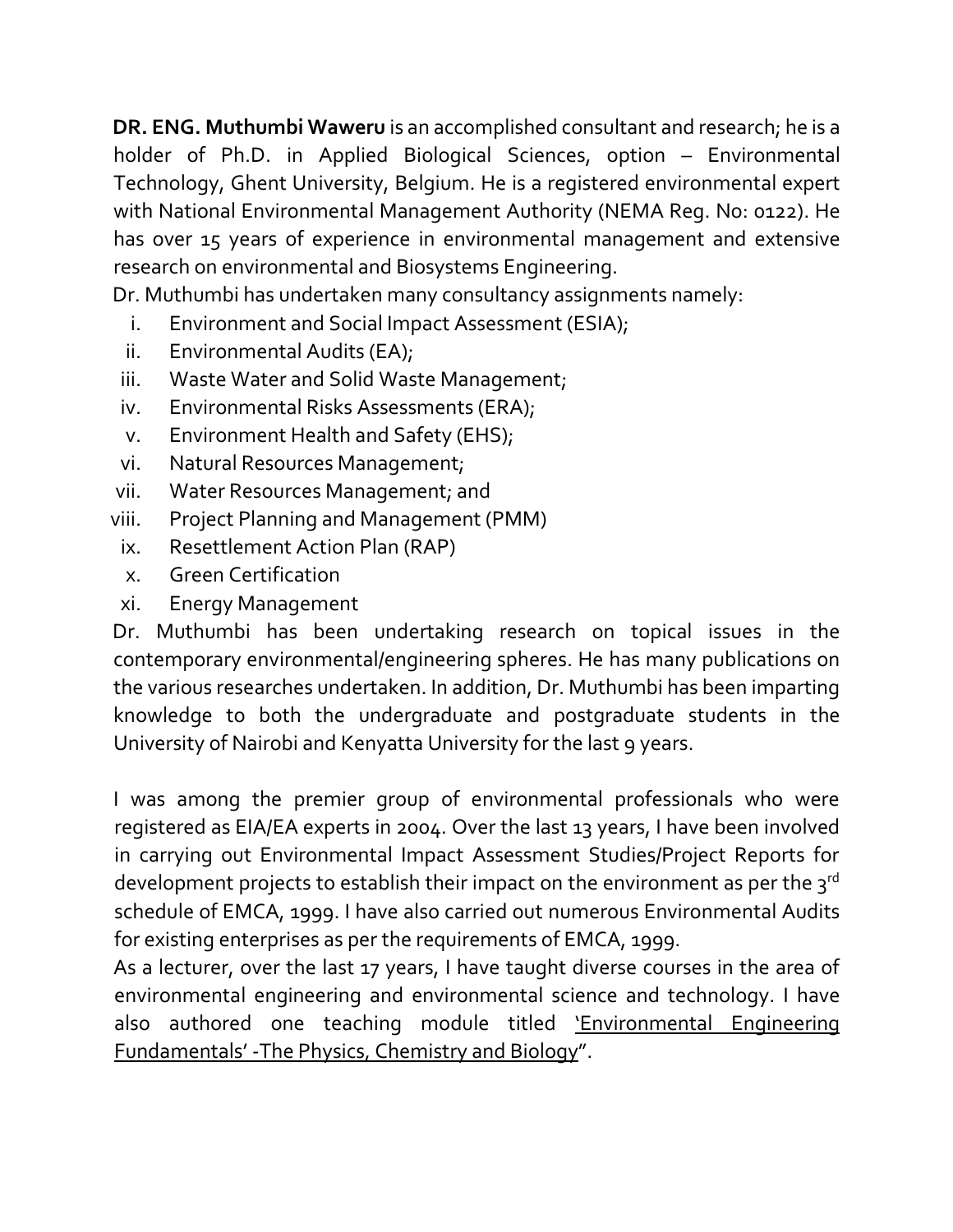**DR. ENG. Muthumbi Waweru** is an accomplished consultant and research; he is a holder of Ph.D. in Applied Biological Sciences, option – Environmental Technology, Ghent University, Belgium. He is a registered environmental expert with National Environmental Management Authority (NEMA Reg. No: 0122). He has over 15 years of experience in environmental management and extensive research on environmental and Biosystems Engineering.

Dr. Muthumbi has undertaken many consultancy assignments namely:

- i. Environment and Social Impact Assessment (ESIA);
- ii. Environmental Audits (EA);
- iii. Waste Water and Solid Waste Management;
- iv. Environmental Risks Assessments (ERA);
- v. Environment Health and Safety (EHS);
- vi. Natural Resources Management;
- vii. Water Resources Management; and
- viii. Project Planning and Management (PMM)
- ix. Resettlement Action Plan (RAP)
- x. Green Certification
- xi. Energy Management

Dr. Muthumbi has been undertaking research on topical issues in the contemporary environmental/engineering spheres. He has many publications on the various researches undertaken. In addition, Dr. Muthumbi has been imparting knowledge to both the undergraduate and postgraduate students in the University of Nairobi and Kenyatta University for the last 9 years.

I was among the premier group of environmental professionals who were registered as EIA/EA experts in 2004. Over the last 13 years, I have been involved in carrying out Environmental Impact Assessment Studies/Project Reports for development projects to establish their impact on the environment as per the 3rd schedule of EMCA, 1999. I have also carried out numerous Environmental Audits for existing enterprises as per the requirements of EMCA, 1999.

As a lecturer, over the last 17 years, I have taught diverse courses in the area of environmental engineering and environmental science and technology. I have also authored one teaching module titled 'Environmental Engineering Fundamentals' -The Physics, Chemistry and Biology".